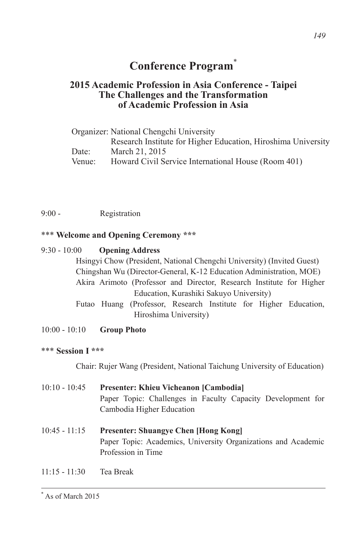# **Conference Program**\*

# **2015 Academic Profession in Asia Conference - Taipei The Challenges and the Transformation of Academic Profession in Asia**

|        | Organizer: National Chengchi University                       |
|--------|---------------------------------------------------------------|
|        | Research Institute for Higher Education, Hiroshima University |
| Date:  | March 21, 2015                                                |
| Venue: | Howard Civil Service International House (Room 401)           |

9:00 - Registration

# \*\*\* **Welcome and Opening Ceremony \*\*\***

## 9:30 - 10:00 **Opening Address**

Hsingyi Chow (President, National Chengchi University) (Invited Guest) Chingshan Wu (Director-General, K-12 Education Administration, MOE) Akira Arimoto (Professor and Director, Research Institute for Higher Education, Kurashiki Sakuyo University)

- Futao Huang (Professor, Research Institute for Higher Education, Hiroshima University)
- 10:00 10:10 **Group Photo**

## \*\*\* **Session I \*\*\***

Chair: Rujer Wang (President, National Taichung University of Education)

- 10:10 10:45 **Presenter: Khieu Vicheanon [Cambodia]** Paper Topic: Challenges in Faculty Capacity Development for Cambodia Higher Education 10:45 - 11:15 **Presenter: Shuangye Chen [Hong Kong]** Paper Topic: Academics, University Organizations and Academic Profession in Time
- 11:15 11:30 Tea Break

<sup>\*</sup> As of March 2015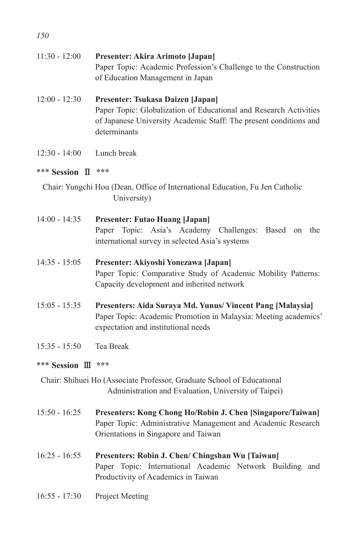| $11:30 - 12:00$     | Presenter: Akira Arimoto [Japan]<br>Paper Topic: Academic Profession's Challenge to the Construction<br>of Education Management in Japan                                                    |
|---------------------|---------------------------------------------------------------------------------------------------------------------------------------------------------------------------------------------|
| $12:00 - 12:30$     | Presenter: Tsukasa Daizen [Japan]<br>Paper Topic: Globalization of Educational and Research Activities<br>of Japanese University Academic Staff: The present conditions and<br>determinants |
| $12:30 - 14:00$     | Lunch break                                                                                                                                                                                 |
| *** Session II      | ***                                                                                                                                                                                         |
|                     | Chair: Yungchi Hou (Dean, Office of International Education, Fu Jen Catholic<br>University)                                                                                                 |
| $14:00 - 14:35$     | <b>Presenter: Futao Huang [Japan]</b><br>Topic: Asia's Academy Challenges:<br>Paper<br>Based<br>on the<br>international survey in selected Asia's systems                                   |
| $14:35 - 15:05$     | Presenter: Akiyoshi Yonezawa [Japan]<br>Paper Topic: Comparative Study of Academic Mobility Patterns:<br>Capacity development and inherited network                                         |
| $15:05 - 15:35$     | Presenters: Aida Suraya Md. Yunus/ Vincent Pang [Malaysia]<br>Paper Topic: Academic Promotion in Malaysia: Meeting academics'<br>expectation and institutional needs                        |
| $15:35 - 15:50$     | Tea Break                                                                                                                                                                                   |
| *** Session III *** |                                                                                                                                                                                             |
|                     | Chair: Shihuei Ho (Associate Professor, Graduate School of Educational<br>Administration and Evaluation, University of Taipei)                                                              |

- 15:50 16:25 **Presenters: Kong Chong Ho/Robin J. Chen [Singapore/Taiwan]** Paper Topic: Administrative Management and Academic Research Orientations in Singapore and Taiwan
- 16:25 16:55 **Presenters: Robin J. Chen/ Chingshan Wu [Taiwan]**  Paper Topic: International Academic Network Building and Productivity of Academics in Taiwan
- 16:55 17:30 Project Meeting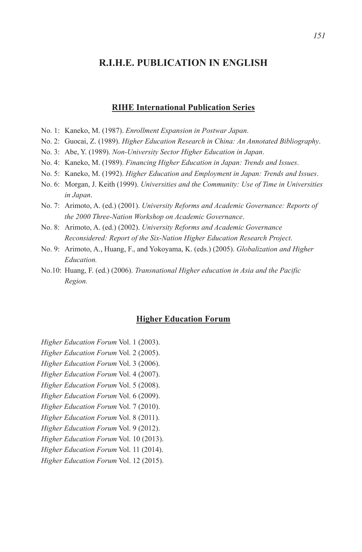# **R.I.H.E. PUBLICATION IN ENGLISH**

#### **RIHE International Publication Series**

- No. 1: Kaneko, M. (1987). *Enrollment Expansion in Postwar Japan*.
- No. 2: Guocai, Z. (1989). *Higher Education Research in China: An Annotated Bibliography*.
- No. 3: Abe, Y. (1989). *Non-University Sector Higher Education in Japan*.
- No. 4: Kaneko, M. (1989). *Financing Higher Education in Japan: Trends and Issues*.
- No. 5: Kaneko, M. (1992). *Higher Education and Employment in Japan: Trends and Issues*.
- No. 6: Morgan, J. Keith (1999). *Universities and the Community: Use of Time in Universities in Japan*.
- No. 7: Arimoto, A. (ed.) (2001). *University Reforms and Academic Governance: Reports of the 2000 Three-Nation Workshop on Academic Governance*.
- No. 8: Arimoto, A. (ed.) (2002). *University Reforms and Academic Governance Reconsidered: Report of the Six-Nation Higher Education Research Project*.
- No. 9: Arimoto, A., Huang, F., and Yokoyama, K. (eds.) (2005). *Globalization and Higher Education.*
- No.10: Huang, F. (ed.) (2006). *Transnational Higher education in Asia and the Pacific Region.*

#### **Higher Education Forum**

*Higher Education Forum* Vol. 1 (2003).

- *Higher Education Forum* Vol. 2 (2005).
- *Higher Education Forum* Vol. 3 (2006).
- *Higher Education Forum* Vol. 4 (2007).
- *Higher Education Forum* Vol. 5 (2008).
- *Higher Education Forum* Vol. 6 (2009).
- *Higher Education Forum* Vol. 7 (2010).
- *Higher Education Forum* Vol. 8 (2011).
- *Higher Education Forum* Vol. 9 (2012).
- *Higher Education Forum* Vol. 10 (2013).
- *Higher Education Forum* Vol. 11 (2014).
- *Higher Education Forum* Vol. 12 (2015).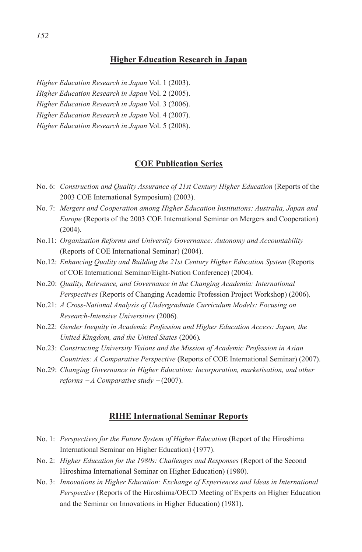#### **Higher Education Research in Japan**

*Higher Education Research in Japan* Vol. 1 (2003).

*Higher Education Research in Japan* Vol. 2 (2005).

*Higher Education Research in Japan* Vol. 3 (2006).

*Higher Education Research in Japan* Vol. 4 (2007).

*Higher Education Research in Japan* Vol. 5 (2008).

## **COE Publication Series**

- No. 6: *Construction and Quality Assurance of 21st Century Higher Education* (Reports of the 2003 COE International Symposium) (2003).
- No. 7: *Mergers and Cooperation among Higher Education Institutions: Australia, Japan and Europe* (Reports of the 2003 COE International Seminar on Mergers and Cooperation) (2004).
- No.11: *Organization Reforms and University Governance: Autonomy and Accountability* (Reports of COE International Seminar) (2004).
- No.12: *Enhancing Quality and Building the 21st Century Higher Education System* (Reports of COE International Seminar/Eight-Nation Conference) (2004).
- No.20: *Quality, Relevance, and Governance in the Changing Academia: International Perspectives* (Reports of Changing Academic Profession Project Workshop) (2006).
- No.21: *A Cross-National Analysis of Undergraduate Curriculum Models: Focusing on Research-Intensive Universities* (2006)*.*
- No.22: *Gender Inequity in Academic Profession and Higher Education Access: Japan, the United Kingdom, and the United States* (2006)*.*
- No.23: *Constructing University Visions and the Mission of Academic Profession in Asian Countries: A Comparative Perspective* (Reports of COE International Seminar) (2007).
- No.29: *Changing Governance in Higher Education: Incorporation, marketisation, and other reforms*  $-A$  *Comparative study*  $-(2007)$ *.*

#### **RIHE International Seminar Reports**

- No. 1: *Perspectives for the Future System of Higher Education* (Report of the Hiroshima International Seminar on Higher Education) (1977).
- No. 2: *Higher Education for the 1980s: Challenges and Responses* (Report of the Second Hiroshima International Seminar on Higher Education) (1980).
- No. 3: *Innovations in Higher Education: Exchange of Experiences and Ideas in International Perspective* (Reports of the Hiroshima/OECD Meeting of Experts on Higher Education and the Seminar on Innovations in Higher Education) (1981).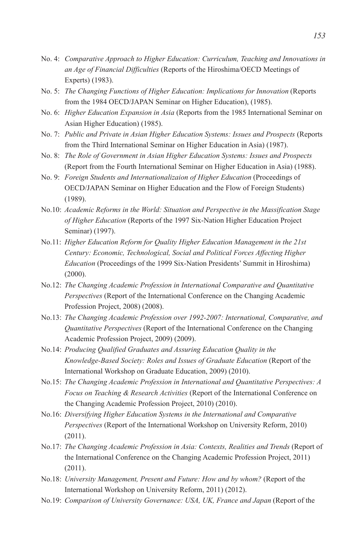- No. 4: *Comparative Approach to Higher Education: Curriculum, Teaching and Innovations in an Age of Financial Difficulties* (Reports of the Hiroshima/OECD Meetings of Experts) (1983).
- No. 5: *The Changing Functions of Higher Education: Implications for Innovation* (Reports from the 1984 OECD/JAPAN Seminar on Higher Education), (1985).
- No. 6: *Higher Education Expansion in Asia* (Reports from the 1985 International Seminar on Asian Higher Education) (1985).
- No. 7: *Public and Private in Asian Higher Education Systems: Issues and Prospects* (Reports from the Third International Seminar on Higher Education in Asia) (1987).
- No. 8: *The Role of Government in Asian Higher Education Systems: Issues and Prospects*  (Report from the Fourth International Seminar on Higher Education in Asia) (1988).
- No. 9: *Foreign Students and Internationalizaion of Higher Education* (Proceedings of OECD/JAPAN Seminar on Higher Education and the Flow of Foreign Students) (1989).
- No.10: *Academic Reforms in the World: Situation and Perspective in the Massification Stage of Higher Education* (Reports of the 1997 Six-Nation Higher Education Project Seminar) (1997).
- No.11: *Higher Education Reform for Quality Higher Education Management in the 21st Century: Economic, Technological, Social and Political Forces Affecting Higher Education* (Proceedings of the 1999 Six-Nation Presidents' Summit in Hiroshima) (2000).
- No.12: *The Changing Academic Profession in International Comparative and Quantitative Perspectives* (Report of the International Conference on the Changing Academic Profession Project, 2008) (2008).
- No.13: *The Changing Academic Profession over 1992-2007: International, Comparative, and Quantitative Perspectives* (Report of the International Conference on the Changing Academic Profession Project, 2009) (2009).
- No.14: *Producing Qualified Graduates and Assuring Education Quality in the Knowledge-Based Society: Roles and Issues of Graduate Education* (Report of the International Workshop on Graduate Education, 2009) (2010).
- No.15: *The Changing Academic Profession in International and Quantitative Perspectives: A Focus on Teaching & Research Activities* (Report of the International Conference on the Changing Academic Profession Project, 2010) (2010).
- No.16: *Diversifying Higher Education Systems in the International and Comparative Perspectives* (Report of the International Workshop on University Reform, 2010) (2011).
- No.17: *The Changing Academic Profession in Asia: Contexts, Realities and Trends* (Report of the International Conference on the Changing Academic Profession Project, 2011) (2011).
- No.18: *University Management, Present and Future: How and by whom?* (Report of the International Workshop on University Reform, 2011) (2012).
- No.19: *Comparison of University Governance: USA, UK, France and Japan* (Report of the